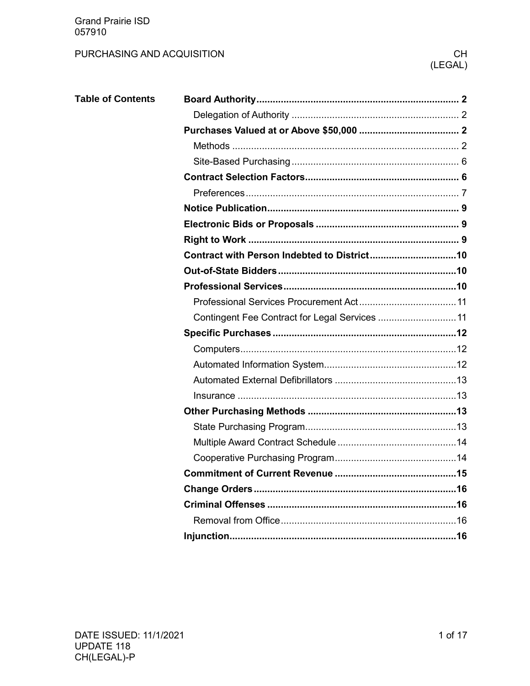### PURCHASING AND ACQUISITION

| <b>Table of Contents</b> |                                                |
|--------------------------|------------------------------------------------|
|                          |                                                |
|                          |                                                |
|                          |                                                |
|                          |                                                |
|                          |                                                |
|                          |                                                |
|                          |                                                |
|                          |                                                |
|                          |                                                |
|                          |                                                |
|                          |                                                |
|                          |                                                |
|                          |                                                |
|                          | Contingent Fee Contract for Legal Services  11 |
|                          |                                                |
|                          |                                                |
|                          |                                                |
|                          |                                                |
|                          |                                                |
|                          |                                                |
|                          |                                                |
|                          |                                                |
|                          |                                                |
|                          |                                                |
|                          |                                                |
|                          |                                                |
|                          |                                                |
|                          |                                                |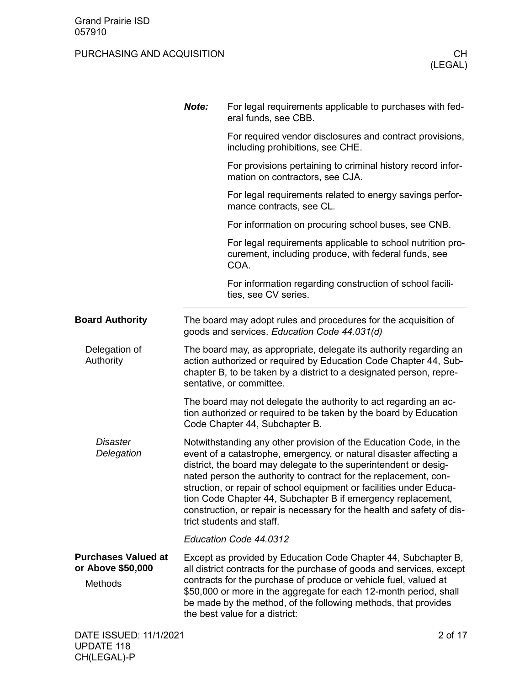<span id="page-1-3"></span><span id="page-1-2"></span><span id="page-1-1"></span><span id="page-1-0"></span>

|                                                                   | Note: | For legal requirements applicable to purchases with fed-<br>eral funds, see CBB.                                                                                                                                                                                                                                                                                                                                                                                                                                              |
|-------------------------------------------------------------------|-------|-------------------------------------------------------------------------------------------------------------------------------------------------------------------------------------------------------------------------------------------------------------------------------------------------------------------------------------------------------------------------------------------------------------------------------------------------------------------------------------------------------------------------------|
|                                                                   |       | For required vendor disclosures and contract provisions,<br>including prohibitions, see CHE.                                                                                                                                                                                                                                                                                                                                                                                                                                  |
|                                                                   |       | For provisions pertaining to criminal history record infor-<br>mation on contractors, see CJA.                                                                                                                                                                                                                                                                                                                                                                                                                                |
|                                                                   |       | For legal requirements related to energy savings perfor-<br>mance contracts, see CL.                                                                                                                                                                                                                                                                                                                                                                                                                                          |
|                                                                   |       | For information on procuring school buses, see CNB.                                                                                                                                                                                                                                                                                                                                                                                                                                                                           |
|                                                                   |       | For legal requirements applicable to school nutrition pro-<br>curement, including produce, with federal funds, see<br>COA.                                                                                                                                                                                                                                                                                                                                                                                                    |
|                                                                   |       | For information regarding construction of school facili-<br>ties, see CV series.                                                                                                                                                                                                                                                                                                                                                                                                                                              |
| <b>Board Authority</b>                                            |       | The board may adopt rules and procedures for the acquisition of<br>goods and services. Education Code 44.031(d)                                                                                                                                                                                                                                                                                                                                                                                                               |
| Delegation of<br>Authority                                        |       | The board may, as appropriate, delegate its authority regarding an<br>action authorized or required by Education Code Chapter 44, Sub-<br>chapter B, to be taken by a district to a designated person, repre-<br>sentative, or committee.                                                                                                                                                                                                                                                                                     |
|                                                                   |       | The board may not delegate the authority to act regarding an ac-<br>tion authorized or required to be taken by the board by Education<br>Code Chapter 44, Subchapter B.                                                                                                                                                                                                                                                                                                                                                       |
| <b>Disaster</b><br>Delegation                                     |       | Notwithstanding any other provision of the Education Code, in the<br>event of a catastrophe, emergency, or natural disaster affecting a<br>district, the board may delegate to the superintendent or desig-<br>nated person the authority to contract for the replacement, con-<br>struction, or repair of school equipment or facilities under Educa-<br>tion Code Chapter 44, Subchapter B if emergency replacement,<br>construction, or repair is necessary for the health and safety of dis-<br>trict students and staff. |
|                                                                   |       | Education Code 44.0312                                                                                                                                                                                                                                                                                                                                                                                                                                                                                                        |
| <b>Purchases Valued at</b><br>or Above \$50,000<br><b>Methods</b> |       | Except as provided by Education Code Chapter 44, Subchapter B,<br>all district contracts for the purchase of goods and services, except<br>contracts for the purchase of produce or vehicle fuel, valued at<br>\$50,000 or more in the aggregate for each 12-month period, shall<br>be made by the method, of the following methods, that provides<br>the best value for a district:                                                                                                                                          |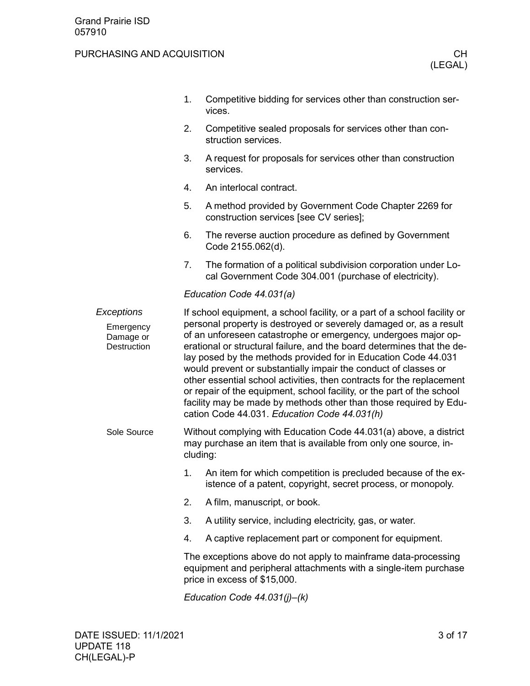|                                                     | 1. | Competitive bidding for services other than construction ser-<br>vices.                                                                                                                                                                                                                                                                                                                                                                                                                                                                                                                                                                                                                                  |
|-----------------------------------------------------|----|----------------------------------------------------------------------------------------------------------------------------------------------------------------------------------------------------------------------------------------------------------------------------------------------------------------------------------------------------------------------------------------------------------------------------------------------------------------------------------------------------------------------------------------------------------------------------------------------------------------------------------------------------------------------------------------------------------|
|                                                     | 2. | Competitive sealed proposals for services other than con-<br>struction services.                                                                                                                                                                                                                                                                                                                                                                                                                                                                                                                                                                                                                         |
|                                                     | 3. | A request for proposals for services other than construction<br>services.                                                                                                                                                                                                                                                                                                                                                                                                                                                                                                                                                                                                                                |
|                                                     | 4. | An interlocal contract.                                                                                                                                                                                                                                                                                                                                                                                                                                                                                                                                                                                                                                                                                  |
|                                                     | 5. | A method provided by Government Code Chapter 2269 for<br>construction services [see CV series];                                                                                                                                                                                                                                                                                                                                                                                                                                                                                                                                                                                                          |
|                                                     | 6. | The reverse auction procedure as defined by Government<br>Code 2155.062(d).                                                                                                                                                                                                                                                                                                                                                                                                                                                                                                                                                                                                                              |
|                                                     | 7. | The formation of a political subdivision corporation under Lo-<br>cal Government Code 304.001 (purchase of electricity).                                                                                                                                                                                                                                                                                                                                                                                                                                                                                                                                                                                 |
|                                                     |    | Education Code 44.031(a)                                                                                                                                                                                                                                                                                                                                                                                                                                                                                                                                                                                                                                                                                 |
| Exceptions<br>Emergency<br>Damage or<br>Destruction |    | If school equipment, a school facility, or a part of a school facility or<br>personal property is destroyed or severely damaged or, as a result<br>of an unforeseen catastrophe or emergency, undergoes major op-<br>erational or structural failure, and the board determines that the de-<br>lay posed by the methods provided for in Education Code 44.031<br>would prevent or substantially impair the conduct of classes or<br>other essential school activities, then contracts for the replacement<br>or repair of the equipment, school facility, or the part of the school<br>facility may be made by methods other than those required by Edu-<br>cation Code 44.031. Education Code 44.031(h) |
| Sole Source                                         |    | Without complying with Education Code 44.031(a) above, a district<br>may purchase an item that is available from only one source, in-<br>cluding:                                                                                                                                                                                                                                                                                                                                                                                                                                                                                                                                                        |
|                                                     | 1. | An item for which competition is precluded because of the ex-<br>istence of a patent, copyright, secret process, or monopoly.                                                                                                                                                                                                                                                                                                                                                                                                                                                                                                                                                                            |
|                                                     | 2. | A film, manuscript, or book.                                                                                                                                                                                                                                                                                                                                                                                                                                                                                                                                                                                                                                                                             |
|                                                     | 3. | A utility service, including electricity, gas, or water.                                                                                                                                                                                                                                                                                                                                                                                                                                                                                                                                                                                                                                                 |
|                                                     | 4. | A captive replacement part or component for equipment.                                                                                                                                                                                                                                                                                                                                                                                                                                                                                                                                                                                                                                                   |
|                                                     |    | The exceptions above do not apply to mainframe data-processing<br>equipment and peripheral attachments with a single-item purchase<br>price in excess of \$15,000.                                                                                                                                                                                                                                                                                                                                                                                                                                                                                                                                       |
|                                                     |    | Education Code $44.031(j)–(k)$                                                                                                                                                                                                                                                                                                                                                                                                                                                                                                                                                                                                                                                                           |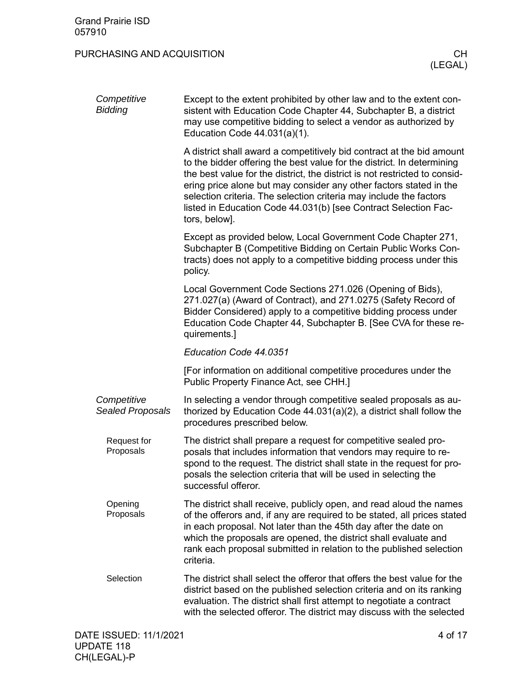| Competitive<br><b>Bidding</b>   | Except to the extent prohibited by other law and to the extent con-<br>sistent with Education Code Chapter 44, Subchapter B, a district<br>may use competitive bidding to select a vendor as authorized by<br>Education Code $44.031(a)(1)$ .                                                                                                                                                                                                                 |
|---------------------------------|---------------------------------------------------------------------------------------------------------------------------------------------------------------------------------------------------------------------------------------------------------------------------------------------------------------------------------------------------------------------------------------------------------------------------------------------------------------|
|                                 | A district shall award a competitively bid contract at the bid amount<br>to the bidder offering the best value for the district. In determining<br>the best value for the district, the district is not restricted to consid-<br>ering price alone but may consider any other factors stated in the<br>selection criteria. The selection criteria may include the factors<br>listed in Education Code 44.031(b) [see Contract Selection Fac-<br>tors, below]. |
|                                 | Except as provided below, Local Government Code Chapter 271,<br>Subchapter B (Competitive Bidding on Certain Public Works Con-<br>tracts) does not apply to a competitive bidding process under this<br>policy.                                                                                                                                                                                                                                               |
|                                 | Local Government Code Sections 271.026 (Opening of Bids),<br>271.027(a) (Award of Contract), and 271.0275 (Safety Record of<br>Bidder Considered) apply to a competitive bidding process under<br>Education Code Chapter 44, Subchapter B. [See CVA for these re-<br>quirements.]                                                                                                                                                                             |
|                                 | Education Code 44.0351                                                                                                                                                                                                                                                                                                                                                                                                                                        |
|                                 | [For information on additional competitive procedures under the<br>Public Property Finance Act, see CHH.]                                                                                                                                                                                                                                                                                                                                                     |
| Competitive<br>Sealed Proposals | In selecting a vendor through competitive sealed proposals as au-<br>thorized by Education Code 44.031(a)(2), a district shall follow the<br>procedures prescribed below.                                                                                                                                                                                                                                                                                     |
| Request for<br>Proposals        | The district shall prepare a request for competitive sealed pro-<br>posals that includes information that vendors may require to re-<br>spond to the request. The district shall state in the request for pro-<br>posals the selection criteria that will be used in selecting the<br>successful offeror.                                                                                                                                                     |
| Opening<br>Proposals            | The district shall receive, publicly open, and read aloud the names<br>of the offerors and, if any are required to be stated, all prices stated<br>in each proposal. Not later than the 45th day after the date on<br>which the proposals are opened, the district shall evaluate and<br>rank each proposal submitted in relation to the published selection<br>criteria.                                                                                     |
| Selection                       | The district shall select the offeror that offers the best value for the<br>district based on the published selection criteria and on its ranking<br>evaluation. The district shall first attempt to negotiate a contract<br>with the selected offeror. The district may discuss with the selected                                                                                                                                                            |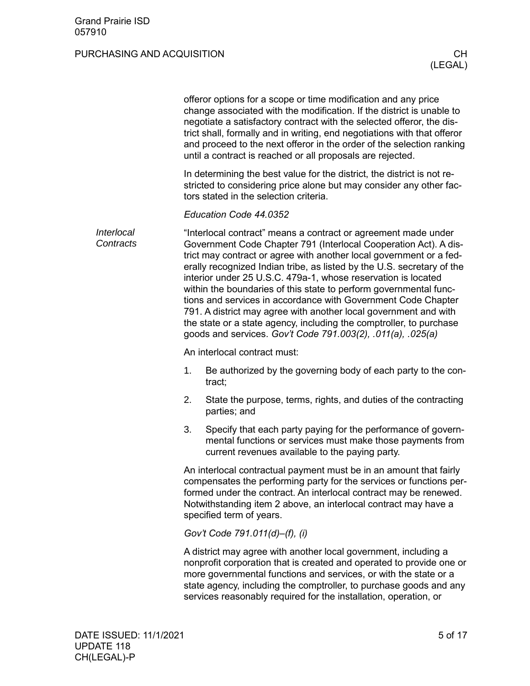|                         |    | offeror options for a scope or time modification and any price<br>change associated with the modification. If the district is unable to<br>negotiate a satisfactory contract with the selected offeror, the dis-<br>trict shall, formally and in writing, end negotiations with that offeror<br>and proceed to the next offeror in the order of the selection ranking<br>until a contract is reached or all proposals are rejected.                                                                                                                                                                                                                                                                  |
|-------------------------|----|------------------------------------------------------------------------------------------------------------------------------------------------------------------------------------------------------------------------------------------------------------------------------------------------------------------------------------------------------------------------------------------------------------------------------------------------------------------------------------------------------------------------------------------------------------------------------------------------------------------------------------------------------------------------------------------------------|
|                         |    | In determining the best value for the district, the district is not re-<br>stricted to considering price alone but may consider any other fac-<br>tors stated in the selection criteria.                                                                                                                                                                                                                                                                                                                                                                                                                                                                                                             |
|                         |    | Education Code 44.0352                                                                                                                                                                                                                                                                                                                                                                                                                                                                                                                                                                                                                                                                               |
| Interlocal<br>Contracts |    | "Interlocal contract" means a contract or agreement made under<br>Government Code Chapter 791 (Interlocal Cooperation Act). A dis-<br>trict may contract or agree with another local government or a fed-<br>erally recognized Indian tribe, as listed by the U.S. secretary of the<br>interior under 25 U.S.C. 479a-1, whose reservation is located<br>within the boundaries of this state to perform governmental func-<br>tions and services in accordance with Government Code Chapter<br>791. A district may agree with another local government and with<br>the state or a state agency, including the comptroller, to purchase<br>goods and services. Gov't Code 791.003(2), .011(a), .025(a) |
|                         |    | An interlocal contract must:                                                                                                                                                                                                                                                                                                                                                                                                                                                                                                                                                                                                                                                                         |
|                         | 1. | Be authorized by the governing body of each party to the con-<br>tract;                                                                                                                                                                                                                                                                                                                                                                                                                                                                                                                                                                                                                              |
|                         | 2. | State the purpose, terms, rights, and duties of the contracting<br>parties; and                                                                                                                                                                                                                                                                                                                                                                                                                                                                                                                                                                                                                      |
|                         | 3. | Specify that each party paying for the performance of govern-<br>mental functions or services must make those payments from<br>current revenues available to the paying party.                                                                                                                                                                                                                                                                                                                                                                                                                                                                                                                       |
|                         |    | An interlocal contractual payment must be in an amount that fairly<br>compensates the performing party for the services or functions per-<br>formed under the contract. An interlocal contract may be renewed.<br>Notwithstanding item 2 above, an interlocal contract may have a<br>specified term of years.                                                                                                                                                                                                                                                                                                                                                                                        |
|                         |    | Gov't Code 791.011(d)-(f), (i)                                                                                                                                                                                                                                                                                                                                                                                                                                                                                                                                                                                                                                                                       |
|                         |    | A district may agree with another local government, including a<br>nonprofit corporation that is created and operated to provide one or<br>more governmental functions and services, or with the state or a<br>state agency, including the comptroller, to purchase goods and any<br>services reasonably required for the installation, operation, or                                                                                                                                                                                                                                                                                                                                                |
|                         |    |                                                                                                                                                                                                                                                                                                                                                                                                                                                                                                                                                                                                                                                                                                      |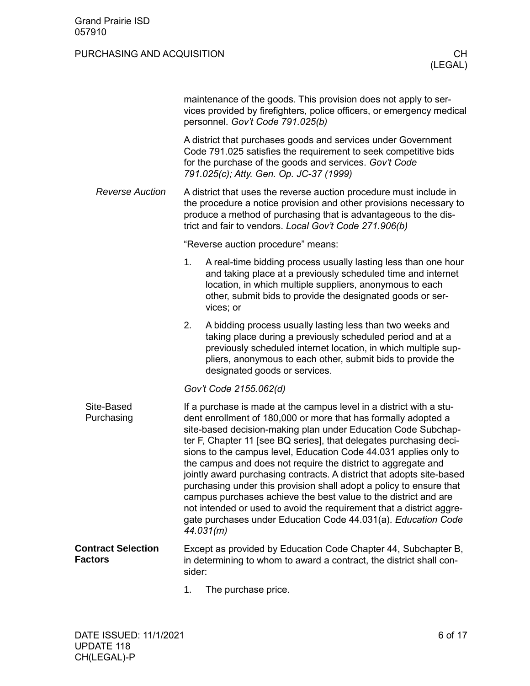|                                             |        | maintenance of the goods. This provision does not apply to ser-<br>vices provided by firefighters, police officers, or emergency medical<br>personnel. Gov't Code 791.025(b)                                                                                                                                                                                                                                                                                                                                                                                                                                                                                                                                                                                                               |
|---------------------------------------------|--------|--------------------------------------------------------------------------------------------------------------------------------------------------------------------------------------------------------------------------------------------------------------------------------------------------------------------------------------------------------------------------------------------------------------------------------------------------------------------------------------------------------------------------------------------------------------------------------------------------------------------------------------------------------------------------------------------------------------------------------------------------------------------------------------------|
|                                             |        | A district that purchases goods and services under Government<br>Code 791.025 satisfies the requirement to seek competitive bids<br>for the purchase of the goods and services. Gov't Code<br>791.025(c); Atty. Gen. Op. JC-37 (1999)                                                                                                                                                                                                                                                                                                                                                                                                                                                                                                                                                      |
| <b>Reverse Auction</b>                      |        | A district that uses the reverse auction procedure must include in<br>the procedure a notice provision and other provisions necessary to<br>produce a method of purchasing that is advantageous to the dis-<br>trict and fair to vendors. Local Gov't Code 271.906(b)                                                                                                                                                                                                                                                                                                                                                                                                                                                                                                                      |
|                                             |        | "Reverse auction procedure" means:                                                                                                                                                                                                                                                                                                                                                                                                                                                                                                                                                                                                                                                                                                                                                         |
|                                             | 1.     | A real-time bidding process usually lasting less than one hour<br>and taking place at a previously scheduled time and internet<br>location, in which multiple suppliers, anonymous to each<br>other, submit bids to provide the designated goods or ser-<br>vices; or                                                                                                                                                                                                                                                                                                                                                                                                                                                                                                                      |
|                                             | 2.     | A bidding process usually lasting less than two weeks and<br>taking place during a previously scheduled period and at a<br>previously scheduled internet location, in which multiple sup-<br>pliers, anonymous to each other, submit bids to provide the<br>designated goods or services.                                                                                                                                                                                                                                                                                                                                                                                                                                                                                                  |
|                                             |        | Gov't Code 2155.062(d)                                                                                                                                                                                                                                                                                                                                                                                                                                                                                                                                                                                                                                                                                                                                                                     |
| Site-Based<br>Purchasing                    |        | If a purchase is made at the campus level in a district with a stu-<br>dent enrollment of 180,000 or more that has formally adopted a<br>site-based decision-making plan under Education Code Subchap-<br>ter F, Chapter 11 [see BQ series], that delegates purchasing deci-<br>sions to the campus level, Education Code 44.031 applies only to<br>the campus and does not require the district to aggregate and<br>jointly award purchasing contracts. A district that adopts site-based<br>purchasing under this provision shall adopt a policy to ensure that<br>campus purchases achieve the best value to the district and are<br>not intended or used to avoid the requirement that a district aggre-<br>gate purchases under Education Code 44.031(a). Education Code<br>44.031(m) |
| <b>Contract Selection</b><br><b>Factors</b> | sider: | Except as provided by Education Code Chapter 44, Subchapter B,<br>in determining to whom to award a contract, the district shall con-                                                                                                                                                                                                                                                                                                                                                                                                                                                                                                                                                                                                                                                      |

<span id="page-5-1"></span><span id="page-5-0"></span>1. The purchase price.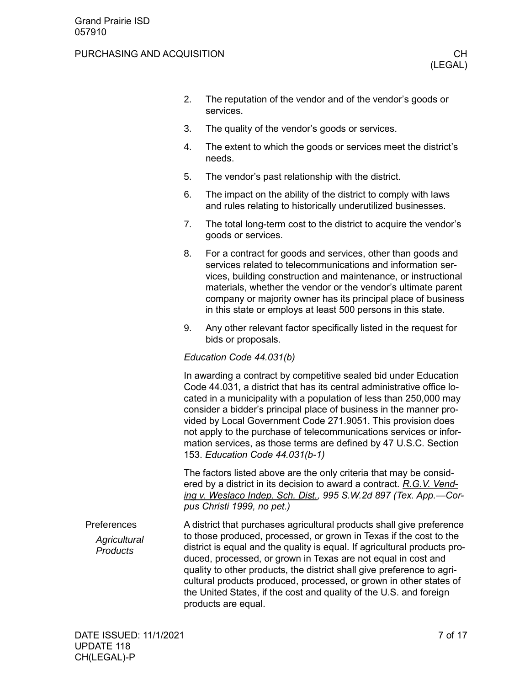#### PURCHASING AND ACQUISITION **CHILIC CHILIC CHILIC CHILIC CHILIC CHILIC CHILIC CHILIC CHILIC CHILIC CHILIC CHILIC CH**

- 2. The reputation of the vendor and of the vendor's goods or services.
- 3. The quality of the vendor's goods or services.
- 4. The extent to which the goods or services meet the district's needs.
- 5. The vendor's past relationship with the district.
- 6. The impact on the ability of the district to comply with laws and rules relating to historically underutilized businesses.
- 7. The total long-term cost to the district to acquire the vendor's goods or services.
- 8. For a contract for goods and services, other than goods and services related to telecommunications and information services, building construction and maintenance, or instructional materials, whether the vendor or the vendor's ultimate parent company or majority owner has its principal place of business in this state or employs at least 500 persons in this state.
- 9. Any other relevant factor specifically listed in the request for bids or proposals.

#### *Education Code 44.031(b)*

In awarding a contract by competitive sealed bid under Education Code 44.031, a district that has its central administrative office located in a municipality with a population of less than 250,000 may consider a bidder's principal place of business in the manner provided by Local Government Code 271.9051. This provision does not apply to the purchase of telecommunications services or information services, as those terms are defined by 47 U.S.C. Section 153. *Education Code 44.031(b-1)*

The factors listed above are the only criteria that may be considered by a district in its decision to award a contract. *R.G.V. Vending v. Weslaco Indep. Sch. Dist., 995 S.W.2d 897 (Tex. App.—Corpus Christi 1999, no pet.)*

<span id="page-6-0"></span>A district that purchases agricultural products shall give preference to those produced, processed, or grown in Texas if the cost to the district is equal and the quality is equal. If agricultural products produced, processed, or grown in Texas are not equal in cost and quality to other products, the district shall give preference to agricultural products produced, processed, or grown in other states of the United States, if the cost and quality of the U.S. and foreign products are equal. Preferences *Agricultural Products*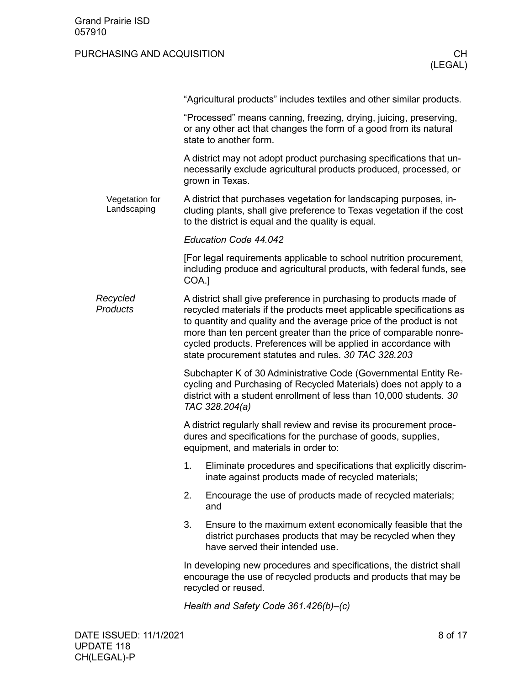|                               | "Agricultural products" includes textiles and other similar products.                                                                                                                                                                                                                                                                                                                                             |  |  |
|-------------------------------|-------------------------------------------------------------------------------------------------------------------------------------------------------------------------------------------------------------------------------------------------------------------------------------------------------------------------------------------------------------------------------------------------------------------|--|--|
|                               | "Processed" means canning, freezing, drying, juicing, preserving,<br>or any other act that changes the form of a good from its natural<br>state to another form.                                                                                                                                                                                                                                                  |  |  |
|                               | A district may not adopt product purchasing specifications that un-<br>necessarily exclude agricultural products produced, processed, or<br>grown in Texas.                                                                                                                                                                                                                                                       |  |  |
| Vegetation for<br>Landscaping | A district that purchases vegetation for landscaping purposes, in-<br>cluding plants, shall give preference to Texas vegetation if the cost<br>to the district is equal and the quality is equal.                                                                                                                                                                                                                 |  |  |
|                               | Education Code 44.042                                                                                                                                                                                                                                                                                                                                                                                             |  |  |
|                               | [For legal requirements applicable to school nutrition procurement,<br>including produce and agricultural products, with federal funds, see<br>COA.]                                                                                                                                                                                                                                                              |  |  |
| Recycled<br>Products          | A district shall give preference in purchasing to products made of<br>recycled materials if the products meet applicable specifications as<br>to quantity and quality and the average price of the product is not<br>more than ten percent greater than the price of comparable nonre-<br>cycled products. Preferences will be applied in accordance with<br>state procurement statutes and rules. 30 TAC 328.203 |  |  |
|                               | Subchapter K of 30 Administrative Code (Governmental Entity Re-<br>cycling and Purchasing of Recycled Materials) does not apply to a<br>district with a student enrollment of less than 10,000 students. 30<br>TAC 328.204(a)                                                                                                                                                                                     |  |  |
|                               | A district regularly shall review and revise its procurement proce-<br>dures and specifications for the purchase of goods, supplies,<br>equipment, and materials in order to:                                                                                                                                                                                                                                     |  |  |
|                               | 1.<br>Eliminate procedures and specifications that explicitly discrim-<br>inate against products made of recycled materials;                                                                                                                                                                                                                                                                                      |  |  |
|                               | 2.<br>Encourage the use of products made of recycled materials;<br>and                                                                                                                                                                                                                                                                                                                                            |  |  |
|                               | 3.<br>Ensure to the maximum extent economically feasible that the<br>district purchases products that may be recycled when they<br>have served their intended use.                                                                                                                                                                                                                                                |  |  |
|                               | In developing new procedures and specifications, the district shall<br>encourage the use of recycled products and products that may be<br>recycled or reused.                                                                                                                                                                                                                                                     |  |  |
|                               | Health and Safety Code 361.426(b)-(c)                                                                                                                                                                                                                                                                                                                                                                             |  |  |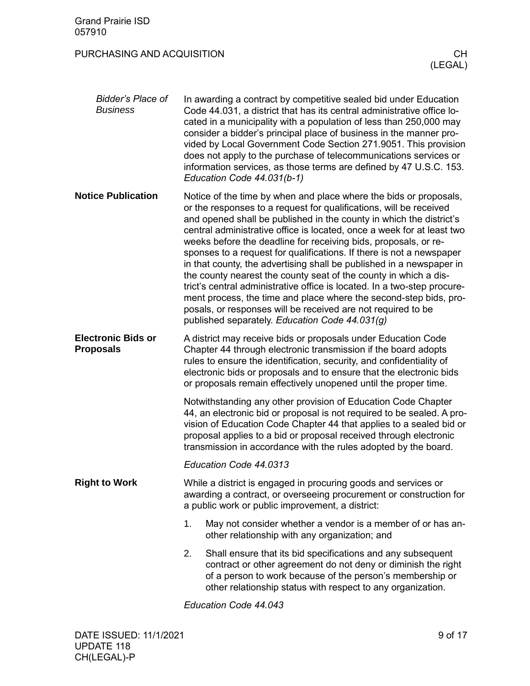<span id="page-8-1"></span><span id="page-8-0"></span>

| <b>Bidder's Place of</b><br><b>Business</b>   | In awarding a contract by competitive sealed bid under Education<br>Code 44.031, a district that has its central administrative office lo-<br>cated in a municipality with a population of less than 250,000 may<br>consider a bidder's principal place of business in the manner pro-<br>vided by Local Government Code Section 271.9051. This provision<br>does not apply to the purchase of telecommunications services or<br>information services, as those terms are defined by 47 U.S.C. 153.<br>Education Code 44.031(b-1)                                                                                                                                                                                                                                                                                                                  |  |
|-----------------------------------------------|----------------------------------------------------------------------------------------------------------------------------------------------------------------------------------------------------------------------------------------------------------------------------------------------------------------------------------------------------------------------------------------------------------------------------------------------------------------------------------------------------------------------------------------------------------------------------------------------------------------------------------------------------------------------------------------------------------------------------------------------------------------------------------------------------------------------------------------------------|--|
| <b>Notice Publication</b>                     | Notice of the time by when and place where the bids or proposals,<br>or the responses to a request for qualifications, will be received<br>and opened shall be published in the county in which the district's<br>central administrative office is located, once a week for at least two<br>weeks before the deadline for receiving bids, proposals, or re-<br>sponses to a request for qualifications. If there is not a newspaper<br>in that county, the advertising shall be published in a newspaper in<br>the county nearest the county seat of the county in which a dis-<br>trict's central administrative office is located. In a two-step procure-<br>ment process, the time and place where the second-step bids, pro-<br>posals, or responses will be received are not required to be<br>published separately. Education Code 44.031(g) |  |
| <b>Electronic Bids or</b><br><b>Proposals</b> | A district may receive bids or proposals under Education Code<br>Chapter 44 through electronic transmission if the board adopts<br>rules to ensure the identification, security, and confidentiality of<br>electronic bids or proposals and to ensure that the electronic bids<br>or proposals remain effectively unopened until the proper time.                                                                                                                                                                                                                                                                                                                                                                                                                                                                                                  |  |
|                                               | Notwithstanding any other provision of Education Code Chapter<br>44, an electronic bid or proposal is not required to be sealed. A pro-<br>vision of Education Code Chapter 44 that applies to a sealed bid or<br>proposal applies to a bid or proposal received through electronic<br>transmission in accordance with the rules adopted by the board.                                                                                                                                                                                                                                                                                                                                                                                                                                                                                             |  |
|                                               | Education Code 44.0313                                                                                                                                                                                                                                                                                                                                                                                                                                                                                                                                                                                                                                                                                                                                                                                                                             |  |
| <b>Right to Work</b>                          | While a district is engaged in procuring goods and services or<br>awarding a contract, or overseeing procurement or construction for<br>a public work or public improvement, a district:                                                                                                                                                                                                                                                                                                                                                                                                                                                                                                                                                                                                                                                           |  |
|                                               | 1.<br>May not consider whether a vendor is a member of or has an-<br>other relationship with any organization; and                                                                                                                                                                                                                                                                                                                                                                                                                                                                                                                                                                                                                                                                                                                                 |  |
|                                               | 2.<br>Shall ensure that its bid specifications and any subsequent<br>contract or other agreement do not deny or diminish the right<br>of a person to work because of the person's membership or<br>other relationship status with respect to any organization.                                                                                                                                                                                                                                                                                                                                                                                                                                                                                                                                                                                     |  |

<span id="page-8-2"></span>*Education Code 44.043*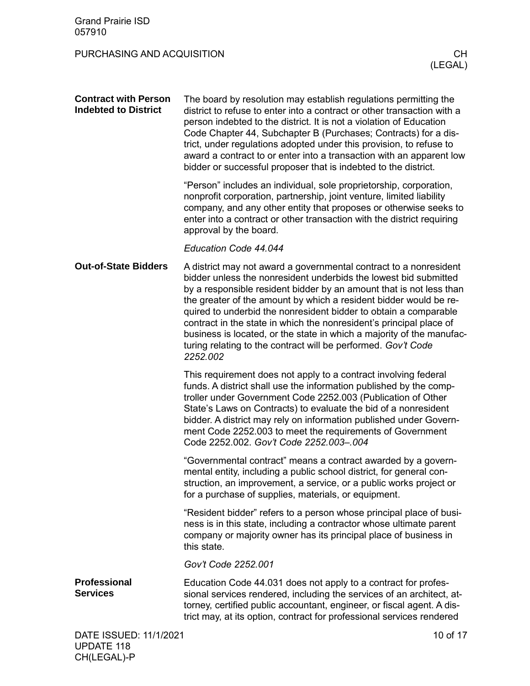<span id="page-9-2"></span><span id="page-9-1"></span><span id="page-9-0"></span>

| <b>Grand Prairie ISD</b><br>057910                         |                                                                                                                                                                                                                                                                                                                                                                                                                                                                                                                                                                                    |                      |
|------------------------------------------------------------|------------------------------------------------------------------------------------------------------------------------------------------------------------------------------------------------------------------------------------------------------------------------------------------------------------------------------------------------------------------------------------------------------------------------------------------------------------------------------------------------------------------------------------------------------------------------------------|----------------------|
| PURCHASING AND ACQUISITION                                 |                                                                                                                                                                                                                                                                                                                                                                                                                                                                                                                                                                                    | <b>CH</b><br>(LEGAL) |
| <b>Contract with Person</b><br><b>Indebted to District</b> | The board by resolution may establish regulations permitting the<br>district to refuse to enter into a contract or other transaction with a<br>person indebted to the district. It is not a violation of Education<br>Code Chapter 44, Subchapter B (Purchases; Contracts) for a dis-<br>trict, under regulations adopted under this provision, to refuse to<br>award a contract to or enter into a transaction with an apparent low<br>bidder or successful proposer that is indebted to the district.                                                                            |                      |
|                                                            | "Person" includes an individual, sole proprietorship, corporation,<br>nonprofit corporation, partnership, joint venture, limited liability<br>company, and any other entity that proposes or otherwise seeks to<br>enter into a contract or other transaction with the district requiring<br>approval by the board.                                                                                                                                                                                                                                                                |                      |
|                                                            | Education Code 44.044                                                                                                                                                                                                                                                                                                                                                                                                                                                                                                                                                              |                      |
| <b>Out-of-State Bidders</b>                                | A district may not award a governmental contract to a nonresident<br>bidder unless the nonresident underbids the lowest bid submitted<br>by a responsible resident bidder by an amount that is not less than<br>the greater of the amount by which a resident bidder would be re-<br>quired to underbid the nonresident bidder to obtain a comparable<br>contract in the state in which the nonresident's principal place of<br>business is located, or the state in which a majority of the manufac-<br>turing relating to the contract will be performed. Gov't Code<br>2252.002 |                      |
|                                                            | This requirement does not apply to a contract involving federal<br>funds. A district shall use the information published by the comp-<br>troller under Government Code 2252.003 (Publication of Other<br>State's Laws on Contracts) to evaluate the bid of a nonresident<br>bidder. A district may rely on information published under Govern-<br>ment Code 2252.003 to meet the requirements of Government<br>Code 2252.002. Gov't Code 2252.003-.004                                                                                                                             |                      |
|                                                            | "Governmental contract" means a contract awarded by a govern-<br>mental entity, including a public school district, for general con-<br>struction, an improvement, a service, or a public works project or<br>for a purchase of supplies, materials, or equipment.                                                                                                                                                                                                                                                                                                                 |                      |
|                                                            | "Resident bidder" refers to a person whose principal place of busi-<br>ness is in this state, including a contractor whose ultimate parent<br>company or majority owner has its principal place of business in<br>this state.                                                                                                                                                                                                                                                                                                                                                      |                      |
|                                                            | Gov't Code 2252.001                                                                                                                                                                                                                                                                                                                                                                                                                                                                                                                                                                |                      |
| Professional<br><b>Services</b>                            | Education Code 44.031 does not apply to a contract for profes-<br>sional services rendered, including the services of an architect, at-<br>torney, certified public accountant, engineer, or fiscal agent. A dis-<br>trict may, at its option, contract for professional services rendered                                                                                                                                                                                                                                                                                         |                      |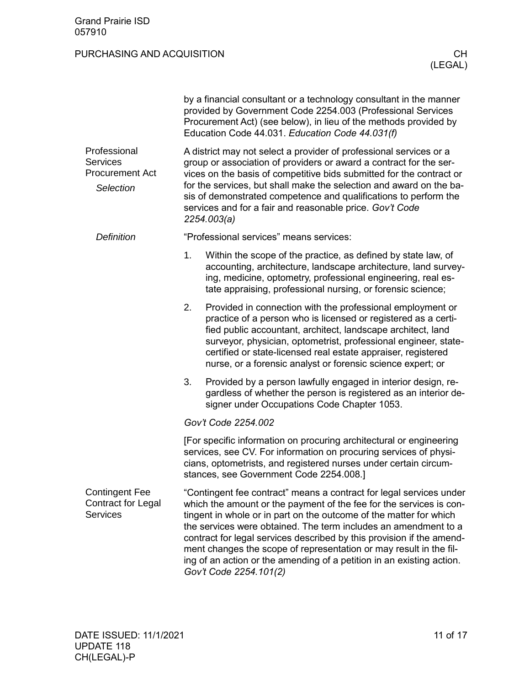<span id="page-10-1"></span><span id="page-10-0"></span>

|                                                                        |    | by a financial consultant or a technology consultant in the manner<br>provided by Government Code 2254.003 (Professional Services<br>Procurement Act) (see below), in lieu of the methods provided by<br>Education Code 44.031. Education Code 44.031(f)                                                                                                                                                                                                                                                                              |  |  |
|------------------------------------------------------------------------|----|---------------------------------------------------------------------------------------------------------------------------------------------------------------------------------------------------------------------------------------------------------------------------------------------------------------------------------------------------------------------------------------------------------------------------------------------------------------------------------------------------------------------------------------|--|--|
| Professional<br><b>Services</b><br><b>Procurement Act</b><br>Selection |    | A district may not select a provider of professional services or a<br>group or association of providers or award a contract for the ser-<br>vices on the basis of competitive bids submitted for the contract or<br>for the services, but shall make the selection and award on the ba-<br>sis of demonstrated competence and qualifications to perform the<br>services and for a fair and reasonable price. Gov't Code<br>2254.003(a)                                                                                                |  |  |
| <b>Definition</b>                                                      |    | "Professional services" means services:                                                                                                                                                                                                                                                                                                                                                                                                                                                                                               |  |  |
|                                                                        | 1. | Within the scope of the practice, as defined by state law, of<br>accounting, architecture, landscape architecture, land survey-<br>ing, medicine, optometry, professional engineering, real es-<br>tate appraising, professional nursing, or forensic science;                                                                                                                                                                                                                                                                        |  |  |
|                                                                        | 2. | Provided in connection with the professional employment or<br>practice of a person who is licensed or registered as a certi-<br>fied public accountant, architect, landscape architect, land<br>surveyor, physician, optometrist, professional engineer, state-<br>certified or state-licensed real estate appraiser, registered<br>nurse, or a forensic analyst or forensic science expert; or                                                                                                                                       |  |  |
|                                                                        | 3. | Provided by a person lawfully engaged in interior design, re-<br>gardless of whether the person is registered as an interior de-<br>signer under Occupations Code Chapter 1053.                                                                                                                                                                                                                                                                                                                                                       |  |  |
|                                                                        |    | Gov't Code 2254.002                                                                                                                                                                                                                                                                                                                                                                                                                                                                                                                   |  |  |
|                                                                        |    | [For specific information on procuring architectural or engineering<br>services, see CV. For information on procuring services of physi-<br>cians, optometrists, and registered nurses under certain circum-<br>stances, see Government Code 2254.008.]                                                                                                                                                                                                                                                                               |  |  |
| <b>Contingent Fee</b><br><b>Contract for Legal</b><br><b>Services</b>  |    | "Contingent fee contract" means a contract for legal services under<br>which the amount or the payment of the fee for the services is con-<br>tingent in whole or in part on the outcome of the matter for which<br>the services were obtained. The term includes an amendment to a<br>contract for legal services described by this provision if the amend-<br>ment changes the scope of representation or may result in the fil-<br>ing of an action or the amending of a petition in an existing action.<br>Gov't Code 2254.101(2) |  |  |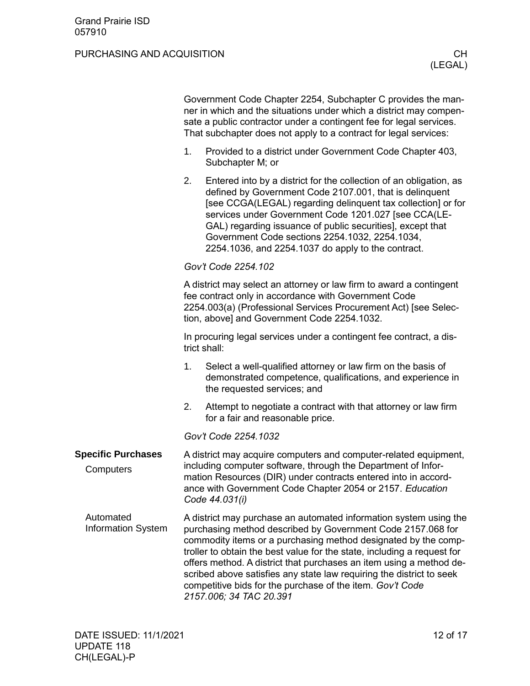<span id="page-11-2"></span><span id="page-11-1"></span><span id="page-11-0"></span>

|                                        |                                                                                                                                                                                                                                                                                    | Government Code Chapter 2254, Subchapter C provides the man-<br>ner in which and the situations under which a district may compen-<br>sate a public contractor under a contingent fee for legal services.<br>That subchapter does not apply to a contract for legal services:                                                                                                                                                                                                                                        |  |  |
|----------------------------------------|------------------------------------------------------------------------------------------------------------------------------------------------------------------------------------------------------------------------------------------------------------------------------------|----------------------------------------------------------------------------------------------------------------------------------------------------------------------------------------------------------------------------------------------------------------------------------------------------------------------------------------------------------------------------------------------------------------------------------------------------------------------------------------------------------------------|--|--|
|                                        | 1.                                                                                                                                                                                                                                                                                 | Provided to a district under Government Code Chapter 403,<br>Subchapter M; or                                                                                                                                                                                                                                                                                                                                                                                                                                        |  |  |
|                                        | 2.                                                                                                                                                                                                                                                                                 | Entered into by a district for the collection of an obligation, as<br>defined by Government Code 2107.001, that is delinquent<br>[see CCGA(LEGAL) regarding delinquent tax collection] or for<br>services under Government Code 1201.027 [see CCA(LE-<br>GAL) regarding issuance of public securities], except that<br>Government Code sections 2254.1032, 2254.1034,<br>2254.1036, and 2254.1037 do apply to the contract.                                                                                          |  |  |
|                                        | Gov't Code 2254.102                                                                                                                                                                                                                                                                |                                                                                                                                                                                                                                                                                                                                                                                                                                                                                                                      |  |  |
|                                        |                                                                                                                                                                                                                                                                                    | A district may select an attorney or law firm to award a contingent<br>fee contract only in accordance with Government Code<br>2254.003(a) (Professional Services Procurement Act) [see Selec-<br>tion, above] and Government Code 2254.1032.                                                                                                                                                                                                                                                                        |  |  |
|                                        |                                                                                                                                                                                                                                                                                    | In procuring legal services under a contingent fee contract, a dis-<br>trict shall:                                                                                                                                                                                                                                                                                                                                                                                                                                  |  |  |
|                                        | 1.                                                                                                                                                                                                                                                                                 | Select a well-qualified attorney or law firm on the basis of<br>demonstrated competence, qualifications, and experience in<br>the requested services; and                                                                                                                                                                                                                                                                                                                                                            |  |  |
|                                        | 2.                                                                                                                                                                                                                                                                                 | Attempt to negotiate a contract with that attorney or law firm<br>for a fair and reasonable price.                                                                                                                                                                                                                                                                                                                                                                                                                   |  |  |
|                                        |                                                                                                                                                                                                                                                                                    | Gov't Code 2254.1032                                                                                                                                                                                                                                                                                                                                                                                                                                                                                                 |  |  |
| <b>Specific Purchases</b><br>Computers | A district may acquire computers and computer-related equipment,<br>including computer software, through the Department of Infor-<br>mation Resources (DIR) under contracts entered into in accord-<br>ance with Government Code Chapter 2054 or 2157. Education<br>Code 44.031(i) |                                                                                                                                                                                                                                                                                                                                                                                                                                                                                                                      |  |  |
| Automated<br><b>Information System</b> |                                                                                                                                                                                                                                                                                    | A district may purchase an automated information system using the<br>purchasing method described by Government Code 2157.068 for<br>commodity items or a purchasing method designated by the comp-<br>troller to obtain the best value for the state, including a request for<br>offers method. A district that purchases an item using a method de-<br>scribed above satisfies any state law requiring the district to seek<br>competitive bids for the purchase of the item. Gov't Code<br>2157.006; 34 TAC 20.391 |  |  |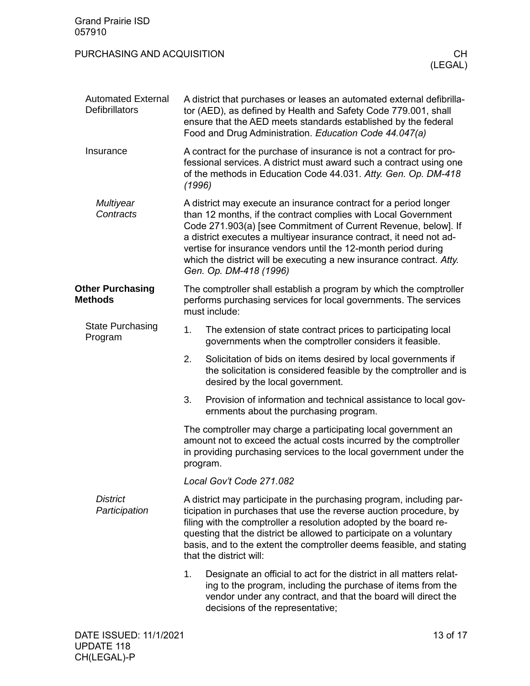<span id="page-12-3"></span><span id="page-12-2"></span><span id="page-12-1"></span><span id="page-12-0"></span>

| <b>Grand Prairie ISD</b><br>057910                 |        |                                                                                                                                                                                                                                                                                                                                                                                                                                                 |  |
|----------------------------------------------------|--------|-------------------------------------------------------------------------------------------------------------------------------------------------------------------------------------------------------------------------------------------------------------------------------------------------------------------------------------------------------------------------------------------------------------------------------------------------|--|
| PURCHASING AND ACQUISITION<br>CH.<br>(LEGAL)       |        |                                                                                                                                                                                                                                                                                                                                                                                                                                                 |  |
| <b>Automated External</b><br><b>Defibrillators</b> |        | A district that purchases or leases an automated external defibrilla-<br>tor (AED), as defined by Health and Safety Code 779.001, shall<br>ensure that the AED meets standards established by the federal<br>Food and Drug Administration. Education Code 44.047(a)                                                                                                                                                                             |  |
| Insurance                                          | (1996) | A contract for the purchase of insurance is not a contract for pro-<br>fessional services. A district must award such a contract using one<br>of the methods in Education Code 44.031. Atty. Gen. Op. DM-418                                                                                                                                                                                                                                    |  |
| <b>Multiyear</b><br>Contracts                      |        | A district may execute an insurance contract for a period longer<br>than 12 months, if the contract complies with Local Government<br>Code 271.903(a) [see Commitment of Current Revenue, below]. If<br>a district executes a multiyear insurance contract, it need not ad-<br>vertise for insurance vendors until the 12-month period during<br>which the district will be executing a new insurance contract. Atty.<br>Gen. Op. DM-418 (1996) |  |
| <b>Other Purchasing</b><br><b>Methods</b>          |        | The comptroller shall establish a program by which the comptroller<br>performs purchasing services for local governments. The services<br>must include:                                                                                                                                                                                                                                                                                         |  |
| <b>State Purchasing</b><br>Program                 | 1.     | The extension of state contract prices to participating local<br>governments when the comptroller considers it feasible.                                                                                                                                                                                                                                                                                                                        |  |
|                                                    | 2.     | Solicitation of bids on items desired by local governments if<br>the solicitation is considered feasible by the comptroller and is<br>desired by the local government.                                                                                                                                                                                                                                                                          |  |
|                                                    | 3.     | Provision of information and technical assistance to local gov-<br>ernments about the purchasing program.                                                                                                                                                                                                                                                                                                                                       |  |
|                                                    |        | The comptroller may charge a participating local government an<br>amount not to exceed the actual costs incurred by the comptroller<br>in providing purchasing services to the local government under the<br>program.                                                                                                                                                                                                                           |  |
|                                                    |        | Local Gov't Code 271.082                                                                                                                                                                                                                                                                                                                                                                                                                        |  |
| <b>District</b><br>Participation                   |        | A district may participate in the purchasing program, including par-<br>ticipation in purchases that use the reverse auction procedure, by<br>filing with the comptroller a resolution adopted by the board re-<br>questing that the district be allowed to participate on a voluntary<br>basis, and to the extent the comptroller deems feasible, and stating<br>that the district will:                                                       |  |
|                                                    | 1.     | Designate an official to act for the district in all matters relat-<br>ing to the program, including the purchase of items from the<br>vendor under any contract, and that the board will direct the<br>decisions of the representative;                                                                                                                                                                                                        |  |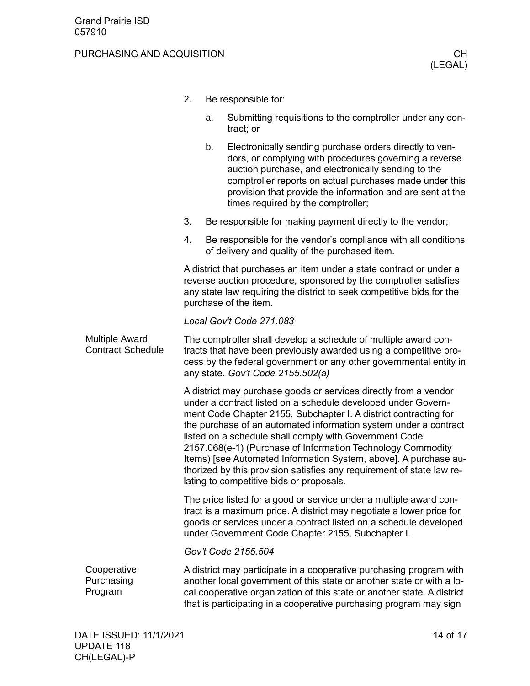#### PURCHASING AND ACQUISITION **CHILIC CHILIC CHILIC CHILIC CHILIC CHILIC CHILIC CHILIC CHILIC CHILIC CHILIC CHILIC CH**

- 2. Be responsible for:
	- a. Submitting requisitions to the comptroller under any contract; or
	- b. Electronically sending purchase orders directly to vendors, or complying with procedures governing a reverse auction purchase, and electronically sending to the comptroller reports on actual purchases made under this provision that provide the information and are sent at the times required by the comptroller;
- 3. Be responsible for making payment directly to the vendor;
- 4. Be responsible for the vendor's compliance with all conditions of delivery and quality of the purchased item.

A district that purchases an item under a state contract or under a reverse auction procedure, sponsored by the comptroller satisfies any state law requiring the district to seek competitive bids for the purchase of the item.

#### *Local Gov't Code 271.083*

<span id="page-13-0"></span>The comptroller shall develop a schedule of multiple award contracts that have been previously awarded using a competitive process by the federal government or any other governmental entity in any state. *Gov't Code 2155.502(a)* Multiple Award Contract Schedule

> A district may purchase goods or services directly from a vendor under a contract listed on a schedule developed under Government Code Chapter 2155, Subchapter I. A district contracting for the purchase of an automated information system under a contract listed on a schedule shall comply with Government Code 2157.068(e-1) (Purchase of Information Technology Commodity Items) [see Automated Information System, above]. A purchase authorized by this provision satisfies any requirement of state law relating to competitive bids or proposals.

> The price listed for a good or service under a multiple award contract is a maximum price. A district may negotiate a lower price for goods or services under a contract listed on a schedule developed under Government Code Chapter 2155, Subchapter I.

*Gov't Code 2155.504*

<span id="page-13-1"></span>A district may participate in a cooperative purchasing program with another local government of this state or another state or with a local cooperative organization of this state or another state. A district that is participating in a cooperative purchasing program may sign **Cooperative** Purchasing Program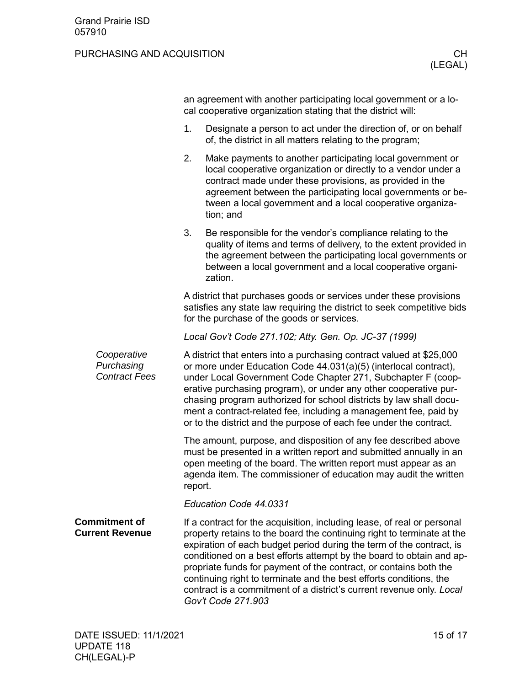<span id="page-14-0"></span>

|                                                   | an agreement with another participating local government or a lo-<br>cal cooperative organization stating that the district will:                                                                                                                                                                                                                                                                                                                                                            |                                                                                                                                                                                                                                                                                                                                                                                                                                                                                                                                            |  |
|---------------------------------------------------|----------------------------------------------------------------------------------------------------------------------------------------------------------------------------------------------------------------------------------------------------------------------------------------------------------------------------------------------------------------------------------------------------------------------------------------------------------------------------------------------|--------------------------------------------------------------------------------------------------------------------------------------------------------------------------------------------------------------------------------------------------------------------------------------------------------------------------------------------------------------------------------------------------------------------------------------------------------------------------------------------------------------------------------------------|--|
|                                                   | 1.                                                                                                                                                                                                                                                                                                                                                                                                                                                                                           | Designate a person to act under the direction of, or on behalf<br>of, the district in all matters relating to the program;                                                                                                                                                                                                                                                                                                                                                                                                                 |  |
|                                                   | 2.                                                                                                                                                                                                                                                                                                                                                                                                                                                                                           | Make payments to another participating local government or<br>local cooperative organization or directly to a vendor under a<br>contract made under these provisions, as provided in the<br>agreement between the participating local governments or be-<br>tween a local government and a local cooperative organiza-<br>tion; and                                                                                                                                                                                                        |  |
|                                                   | 3.                                                                                                                                                                                                                                                                                                                                                                                                                                                                                           | Be responsible for the vendor's compliance relating to the<br>quality of items and terms of delivery, to the extent provided in<br>the agreement between the participating local governments or<br>between a local government and a local cooperative organi-<br>zation.                                                                                                                                                                                                                                                                   |  |
|                                                   |                                                                                                                                                                                                                                                                                                                                                                                                                                                                                              | A district that purchases goods or services under these provisions<br>satisfies any state law requiring the district to seek competitive bids<br>for the purchase of the goods or services.                                                                                                                                                                                                                                                                                                                                                |  |
|                                                   |                                                                                                                                                                                                                                                                                                                                                                                                                                                                                              | Local Gov't Code 271.102; Atty. Gen. Op. JC-37 (1999)                                                                                                                                                                                                                                                                                                                                                                                                                                                                                      |  |
| Cooperative<br>Purchasing<br><b>Contract Fees</b> | A district that enters into a purchasing contract valued at \$25,000<br>or more under Education Code 44.031(a)(5) (interlocal contract),<br>under Local Government Code Chapter 271, Subchapter F (coop-<br>erative purchasing program), or under any other cooperative pur-<br>chasing program authorized for school districts by law shall docu-<br>ment a contract-related fee, including a management fee, paid by<br>or to the district and the purpose of each fee under the contract. |                                                                                                                                                                                                                                                                                                                                                                                                                                                                                                                                            |  |
|                                                   | report.                                                                                                                                                                                                                                                                                                                                                                                                                                                                                      | The amount, purpose, and disposition of any fee described above<br>must be presented in a written report and submitted annually in an<br>open meeting of the board. The written report must appear as an<br>agenda item. The commissioner of education may audit the written                                                                                                                                                                                                                                                               |  |
|                                                   |                                                                                                                                                                                                                                                                                                                                                                                                                                                                                              | Education Code 44.0331                                                                                                                                                                                                                                                                                                                                                                                                                                                                                                                     |  |
| <b>Commitment of</b><br><b>Current Revenue</b>    |                                                                                                                                                                                                                                                                                                                                                                                                                                                                                              | If a contract for the acquisition, including lease, of real or personal<br>property retains to the board the continuing right to terminate at the<br>expiration of each budget period during the term of the contract, is<br>conditioned on a best efforts attempt by the board to obtain and ap-<br>propriate funds for payment of the contract, or contains both the<br>continuing right to terminate and the best efforts conditions, the<br>contract is a commitment of a district's current revenue only. Local<br>Gov't Code 271.903 |  |
|                                                   |                                                                                                                                                                                                                                                                                                                                                                                                                                                                                              |                                                                                                                                                                                                                                                                                                                                                                                                                                                                                                                                            |  |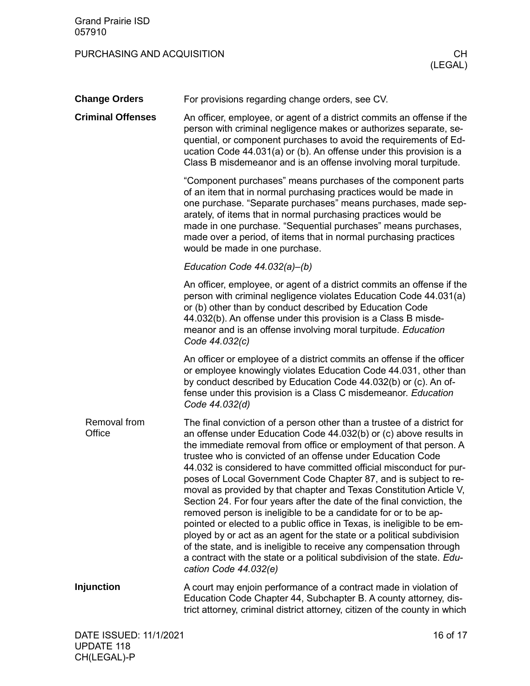<span id="page-15-3"></span><span id="page-15-2"></span><span id="page-15-1"></span><span id="page-15-0"></span>

| <b>Change Orders</b>     | For provisions regarding change orders, see CV.                                                                                                                                                                                                                                                                                                                                                                                                                                                                                                                                                                                                                                                                                                                                                                                                                                                                                                                                |
|--------------------------|--------------------------------------------------------------------------------------------------------------------------------------------------------------------------------------------------------------------------------------------------------------------------------------------------------------------------------------------------------------------------------------------------------------------------------------------------------------------------------------------------------------------------------------------------------------------------------------------------------------------------------------------------------------------------------------------------------------------------------------------------------------------------------------------------------------------------------------------------------------------------------------------------------------------------------------------------------------------------------|
| <b>Criminal Offenses</b> | An officer, employee, or agent of a district commits an offense if the<br>person with criminal negligence makes or authorizes separate, se-<br>quential, or component purchases to avoid the requirements of Ed-<br>ucation Code 44.031(a) or (b). An offense under this provision is a<br>Class B misdemeanor and is an offense involving moral turpitude.                                                                                                                                                                                                                                                                                                                                                                                                                                                                                                                                                                                                                    |
|                          | "Component purchases" means purchases of the component parts<br>of an item that in normal purchasing practices would be made in<br>one purchase. "Separate purchases" means purchases, made sep-<br>arately, of items that in normal purchasing practices would be<br>made in one purchase. "Sequential purchases" means purchases,<br>made over a period, of items that in normal purchasing practices<br>would be made in one purchase.                                                                                                                                                                                                                                                                                                                                                                                                                                                                                                                                      |
|                          | Education Code $44.032(a)$ -(b)                                                                                                                                                                                                                                                                                                                                                                                                                                                                                                                                                                                                                                                                                                                                                                                                                                                                                                                                                |
|                          | An officer, employee, or agent of a district commits an offense if the<br>person with criminal negligence violates Education Code 44.031(a)<br>or (b) other than by conduct described by Education Code<br>44.032(b). An offense under this provision is a Class B misde-<br>meanor and is an offense involving moral turpitude. Education<br>Code 44.032(c)                                                                                                                                                                                                                                                                                                                                                                                                                                                                                                                                                                                                                   |
|                          | An officer or employee of a district commits an offense if the officer<br>or employee knowingly violates Education Code 44.031, other than<br>by conduct described by Education Code 44.032(b) or (c). An of-<br>fense under this provision is a Class C misdemeanor. Education<br>Code 44.032(d)                                                                                                                                                                                                                                                                                                                                                                                                                                                                                                                                                                                                                                                                              |
| Removal from<br>Office   | The final conviction of a person other than a trustee of a district for<br>an offense under Education Code 44.032(b) or (c) above results in<br>the immediate removal from office or employment of that person. A<br>trustee who is convicted of an offense under Education Code<br>44.032 is considered to have committed official misconduct for pur-<br>poses of Local Government Code Chapter 87, and is subject to re-<br>moval as provided by that chapter and Texas Constitution Article V,<br>Section 24. For four years after the date of the final conviction, the<br>removed person is ineligible to be a candidate for or to be ap-<br>pointed or elected to a public office in Texas, is ineligible to be em-<br>ployed by or act as an agent for the state or a political subdivision<br>of the state, and is ineligible to receive any compensation through<br>a contract with the state or a political subdivision of the state. Edu-<br>cation Code 44.032(e) |
| <b>Injunction</b>        | A court may enjoin performance of a contract made in violation of<br>Education Code Chapter 44, Subchapter B. A county attorney, dis-<br>trict attorney, criminal district attorney, citizen of the county in which                                                                                                                                                                                                                                                                                                                                                                                                                                                                                                                                                                                                                                                                                                                                                            |